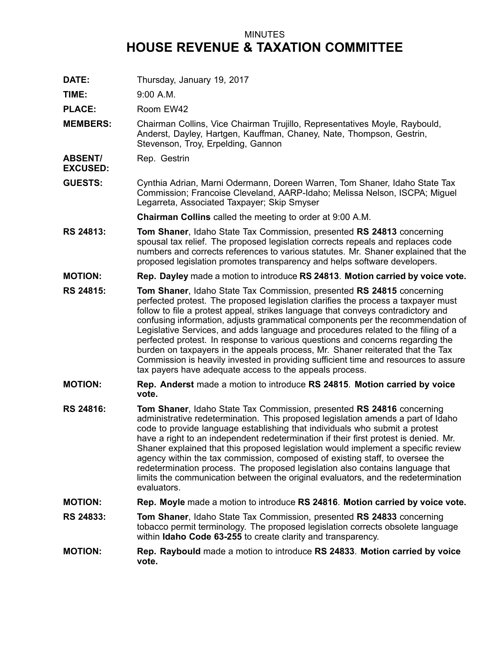## MINUTES **HOUSE REVENUE & TAXATION COMMITTEE**

**DATE:** Thursday, January 19, 2017

**TIME:** 9:00 A.M.

PLACE: Room EW42

**MEMBERS:** Chairman Collins, Vice Chairman Trujillo, Representatives Moyle, Raybould, Anderst, Dayley, Hartgen, Kauffman, Chaney, Nate, Thompson, Gestrin, Stevenson, Troy, Erpelding, Gannon

**ABSENT/** Rep. Gestrin

**EXCUSED:**

**GUESTS:** Cynthia Adrian, Marni Odermann, Doreen Warren, Tom Shaner, Idaho State Tax Commission; Francoise Cleveland, AARP-Idaho; Melissa Nelson, ISCPA; Miguel Legarreta, Associated Taxpayer; Skip Smyser

**Chairman Collins** called the meeting to order at 9:00 A.M.

- **RS 24813: Tom Shaner**, Idaho State Tax Commission, presented **RS 24813** concerning spousal tax relief. The proposed legislation corrects repeals and replaces code numbers and corrects references to various statutes. Mr. Shaner explained that the proposed legislation promotes transparency and helps software developers.
- **MOTION: Rep. Dayley** made <sup>a</sup> motion to introduce **RS 24813**. **Motion carried by voice vote.**
- **RS 24815: Tom Shaner**, Idaho State Tax Commission, presented **RS 24815** concerning perfected protest. The proposed legislation clarifies the process <sup>a</sup> taxpayer must follow to file <sup>a</sup> protest appeal, strikes language that conveys contradictory and confusing information, adjusts grammatical components per the recommendation of Legislative Services, and adds language and procedures related to the filing of <sup>a</sup> perfected protest. In response to various questions and concerns regarding the burden on taxpayers in the appeals process, Mr. Shaner reiterated that the Tax Commission is heavily invested in providing sufficient time and resources to assure tax payers have adequate access to the appeals process.
- **MOTION: Rep. Anderst** made <sup>a</sup> motion to introduce **RS 24815**. **Motion carried by voice vote.**
- **RS 24816: Tom Shaner**, Idaho State Tax Commission, presented **RS 24816** concerning administrative redetermination. This proposed legislation amends <sup>a</sup> part of Idaho code to provide language establishing that individuals who submit <sup>a</sup> protest have <sup>a</sup> right to an independent redetermination if their first protest is denied. Mr. Shaner explained that this proposed legislation would implement <sup>a</sup> specific review agency within the tax commission, composed of existing staff, to oversee the redetermination process. The proposed legislation also contains language that limits the communication between the original evaluators, and the redetermination evaluators.
- **MOTION: Rep. Moyle** made <sup>a</sup> motion to introduce **RS 24816**. **Motion carried by voice vote.**
- **RS 24833: Tom Shaner**, Idaho State Tax Commission, presented **RS 24833** concerning tobacco permit terminology. The proposed legislation corrects obsolete language within **Idaho Code 63-255** to create clarity and transparency.
- **MOTION: Rep. Raybould** made <sup>a</sup> motion to introduce **RS 24833**. **Motion carried by voice vote.**